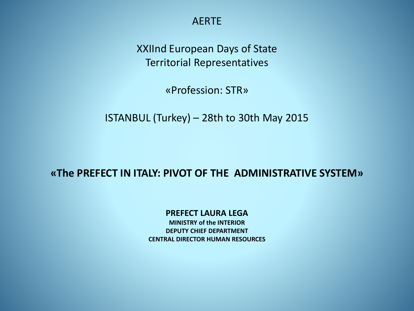AERTE

XXIInd European Days of State Territorial Representatives

«Profession: STR»

ISTANBUL (Turkey) – 28th to 30th May 2015

### **«The PREFECT IN ITALY: PIVOT OF THE ADMINISTRATIVE SYSTEM»**

#### **PREFECT LAURA LEGA**

**MINISTRY of the INTERIOR DEPUTY CHIEF DEPARTMENT CENTRAL DIRECTOR HUMAN RESOURCES**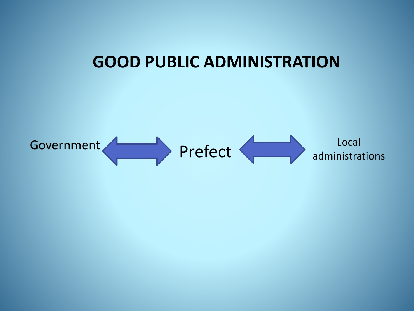# **GOOD PUBLIC ADMINISTRATION**

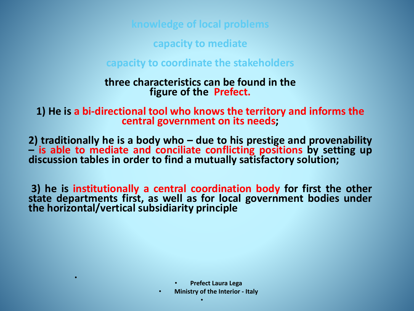**knowledge of local problems**

**capacity to mediate**

**capacity to coordinate the stakeholders**

## **three characteristics can be found in the figure of the Prefect.**

**1) He is a bi-directional tool who knows the territory and informs the central government on its needs;**

**2) traditionally he is a body who – due to his prestige and provenability – is able to mediate and conciliate conflicting positions by setting up discussion tables in order to find a mutually satisfactory solution;**

**3) he is institutionally a central coordination body for first the other state departments first, as well as for local government bodies under the horizontal/vertical subsidiarity principle**

• **Prefect Laura Lega**

•

• **Ministry of the Interior - Italy**

•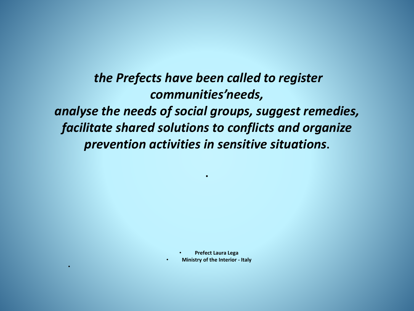*the Prefects have been called to register communities'needs, analyse the needs of social groups, suggest remedies, facilitate shared solutions to conflicts and organize prevention activities in sensitive situations***.** 

**.**

• **Prefect Laura Lega**

• **Ministry of the Interior - Italy**

•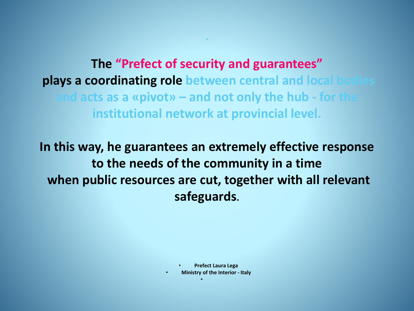## **The "Prefect of security and guarantees" plays a coordinating role between central and local bodies and acts as a «pivot» – and not only the hub - for the institutional network at provincial level.**

**.** 

**In this way, he guarantees an extremely effective response to the needs of the community in a time when public resources are cut, together with all relevant safeguards.**

• **Prefect Laura Lega**

• **Ministry of the Interior - Italy**

•